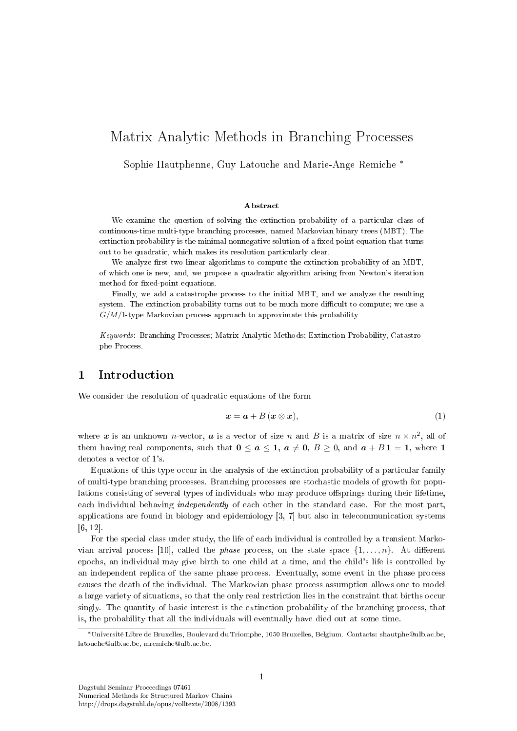# Matrix Analytic Methods in Branching Processes

Sophie Hautphenne, Guy Latouche and Marie-Ange Remiche <sup>∗</sup>

#### Abstract

We examine the question of solving the extinction probability of a particular class of continuous-time multi-type branching processes, named Markovian binary trees (MBT). The extinction probability is the minimal nonnegative solution of a fixed point equation that turns out to be quadratic, which makes its resolution particularly clear.

We analyze first two linear algorithms to compute the extinction probability of an MBT. of which one is new, and, we propose a quadratic algorithm arising from Newton's iteration method for fixed-point equations.

Finally, we add a catastrophe process to the initial MBT, and we analyze the resulting system. The extinction probability turns out to be much more difficult to compute; we use a  $G/M/1$ -type Markovian process approach to approximate this probability.

Keywords: Branching Processes; Matrix Analytic Methods; Extinction Probability, Catastrophe Process.

# 1 Introduction

We consider the resolution of quadratic equations of the form

$$
x = a + B(x \otimes x), \tag{1}
$$

where  $\bm{x}$  is an unknown *n*-vector,  $\bm{a}$  is a vector of size  $n$  and  $B$  is a matrix of size  $n \times n^2$ , all of them having real components, such that  $0 \le a \le 1$ ,  $a \ne 0$ ,  $B \ge 0$ , and  $a + B \mathbf{1} = \mathbf{1}$ , where  $\mathbf{1}$ denotes a vector of 1's.

Equations of this type occur in the analysis of the extinction probability of a particular family of multi-type branching processes. Branching processes are stochastic models of growth for populations consisting of several types of individuals who may produce offsprings during their lifetime, each individual behaving *independently* of each other in the standard case. For the most part, applications are found in biology and epidemiology [3, 7] but also in telecommunication systems [6, 12].

For the special class under study, the life of each individual is controlled by a transient Markovian arrival process [10], called the *phase* process, on the state space  $\{1, \ldots, n\}$ . At different epochs, an individual may give birth to one child at a time, and the child's life is controlled by an independent replica of the same phase process. Eventually, some event in the phase process causes the death of the individual. The Markovian phase process assumption allows one to model a large variety of situations, so that the only real restriction lies in the constraint that births occur singly. The quantity of basic interest is the extinction probability of the branching process, that is, the probability that all the individuals will eventually have died out at some time.

<sup>∗</sup>Université Libre de Bruxelles, Boulevard du Triomphe, 1050 Bruxelles, Belgium. Contacts: shautphe@ulb.ac.be, latouche@ulb.ac.be, mremiche@ulb.ac.be.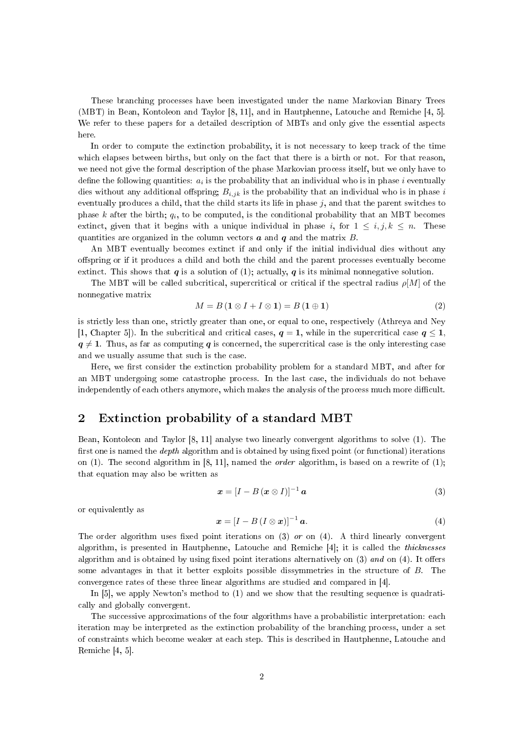These branching processes have been investigated under the name Markovian Binary Trees (MBT) in Bean, Kontoleon and Taylor [8, 11], and in Hautphenne, Latouche and Remiche [4, 5]. We refer to these papers for a detailed description of MBTs and only give the essential aspects here.

In order to compute the extinction probability, it is not necessary to keep track of the time which elapses between births, but only on the fact that there is a birth or not. For that reason, we need not give the formal description of the phase Markovian process itself, but we only have to define the following quantities:  $a_i$  is the probability that an individual who is in phase  $i$  eventually dies without any additional offspring;  $B_{i,jk}$  is the probability that an individual who is in phase i eventually produces a child, that the child starts its life in phase  $j$ , and that the parent switches to phase k after the birth;  $q_i$ , to be computed, is the conditional probability that an MBT becomes extinct, given that it begins with a unique individual in phase i, for  $1 \leq i, j, k \leq n$ . These quantities are organized in the column vectors  $\boldsymbol{a}$  and  $\boldsymbol{q}$  and the matrix  $\boldsymbol{B}$ .

An MBT eventually becomes extinct if and only if the initial individual dies without any offspring or if it produces a child and both the child and the parent processes eventually become extinct. This shows that  $q$  is a solution of (1); actually,  $q$  is its minimal nonnegative solution.

The MBT will be called subcritical, supercritical or critical if the spectral radius  $\rho[M]$  of the nonnegative matrix

$$
M = B\left(\mathbf{1} \otimes I + I \otimes \mathbf{1}\right) = B\left(\mathbf{1} \oplus \mathbf{1}\right) \tag{2}
$$

is strictly less than one, strictly greater than one, or equal to one, respectively (Athreya and Ney [1, Chapter 5]). In the subcritical and critical cases,  $q = 1$ , while in the supercritical case  $q \leq 1$ ,  $q \neq 1$ . Thus, as far as computing q is concerned, the supercritical case is the only interesting case and we usually assume that such is the case.

Here, we first consider the extinction probability problem for a standard MBT, and after for an MBT undergoing some catastrophe process. In the last case, the individuals do not behave independently of each others anymore, which makes the analysis of the process much more difficult.

#### 2 Extinction probability of a standard MBT

Bean, Kontoleon and Taylor [8, 11] analyse two linearly convergent algorithms to solve (1). The first one is named the *depth* algorithm and is obtained by using fixed point (or functional) iterations on (1). The second algorithm in [8, 11], named the *order* algorithm, is based on a rewrite of (1); that equation may also be written as

$$
\boldsymbol{x} = [I - B(\boldsymbol{x} \otimes I)]^{-1} \boldsymbol{a} \tag{3}
$$

or equivalently as

$$
\boldsymbol{x} = [I - B (I \otimes \boldsymbol{x})]^{-1} \boldsymbol{a}.
$$
\n(4)

The order algorithm uses fixed point iterations on  $(3)$  or on  $(4)$ . A third linearly convergent algorithm, is presented in Hautphenne, Latouche and Remiche [4]; it is called the thicknesses algorithm and is obtained by using fixed point iterations alternatively on  $(3)$  and on  $(4)$ . It offers some advantages in that it better exploits possible dissymmetries in the structure of B. The convergence rates of these three linear algorithms are studied and compared in [4].

In [5], we apply Newton's method to (1) and we show that the resulting sequence is quadratically and globally convergent.

The successive approximations of the four algorithms have a probabilistic interpretation: each iteration may be interpreted as the extinction probability of the branching process, under a set of constraints which become weaker at each step. This is described in Hautphenne, Latouche and Remiche [4, 5].